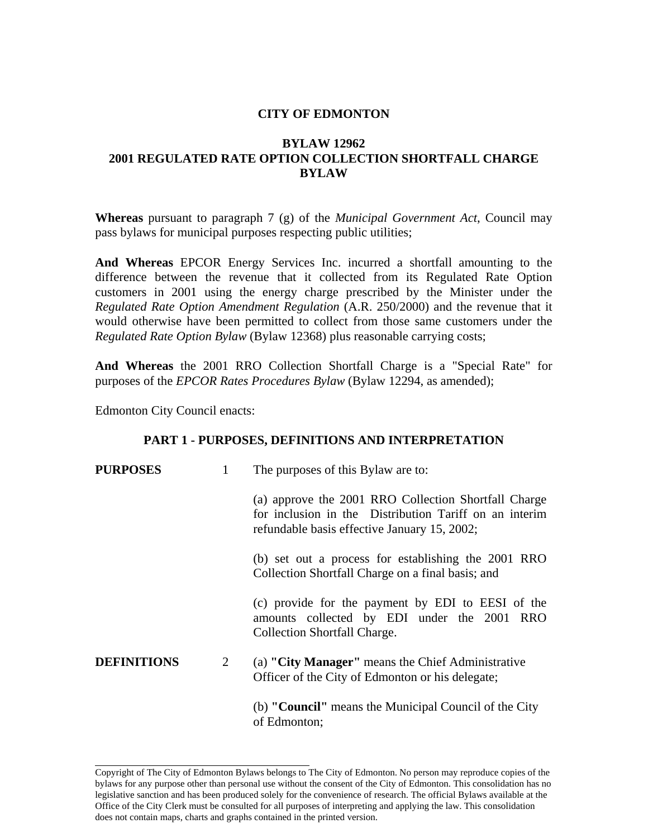### **CITY OF EDMONTON**

# **BYLAW 12962 2001 REGULATED RATE OPTION COLLECTION SHORTFALL CHARGE BYLAW**

**Whereas** pursuant to paragraph 7 (g) of the *Municipal Government Act*, Council may pass bylaws for municipal purposes respecting public utilities;

**And Whereas** EPCOR Energy Services Inc. incurred a shortfall amounting to the difference between the revenue that it collected from its Regulated Rate Option customers in 2001 using the energy charge prescribed by the Minister under the *Regulated Rate Option Amendment Regulation* (A.R. 250/2000) and the revenue that it would otherwise have been permitted to collect from those same customers under the *Regulated Rate Option Bylaw* (Bylaw 12368) plus reasonable carrying costs;

**And Whereas** the 2001 RRO Collection Shortfall Charge is a "Special Rate" for purposes of the *EPCOR Rates Procedures Bylaw* (Bylaw 12294, as amended);

Edmonton City Council enacts:

#### **PART 1 - PURPOSES, DEFINITIONS AND INTERPRETATION**

| <b>PURPOSES</b>    | 1              | The purposes of this Bylaw are to:                                                                                                                             |
|--------------------|----------------|----------------------------------------------------------------------------------------------------------------------------------------------------------------|
|                    |                | (a) approve the 2001 RRO Collection Shortfall Charge<br>for inclusion in the Distribution Tariff on an interim<br>refundable basis effective January 15, 2002; |
|                    |                | (b) set out a process for establishing the 2001 RRO<br>Collection Shortfall Charge on a final basis; and                                                       |
|                    |                | (c) provide for the payment by EDI to EESI of the<br>amounts collected by EDI under the 2001 RRO<br>Collection Shortfall Charge.                               |
| <b>DEFINITIONS</b> | $\overline{2}$ | (a) "City Manager" means the Chief Administrative<br>Officer of the City of Edmonton or his delegate;                                                          |
|                    |                | (b) " <b>Council</b> " means the Municipal Council of the City<br>of Edmonton;                                                                                 |

Copyright of The City of Edmonton Bylaws belongs to The City of Edmonton. No person may reproduce copies of the bylaws for any purpose other than personal use without the consent of the City of Edmonton. This consolidation has no legislative sanction and has been produced solely for the convenience of research. The official Bylaws available at the Office of the City Clerk must be consulted for all purposes of interpreting and applying the law. This consolidation does not contain maps, charts and graphs contained in the printed version.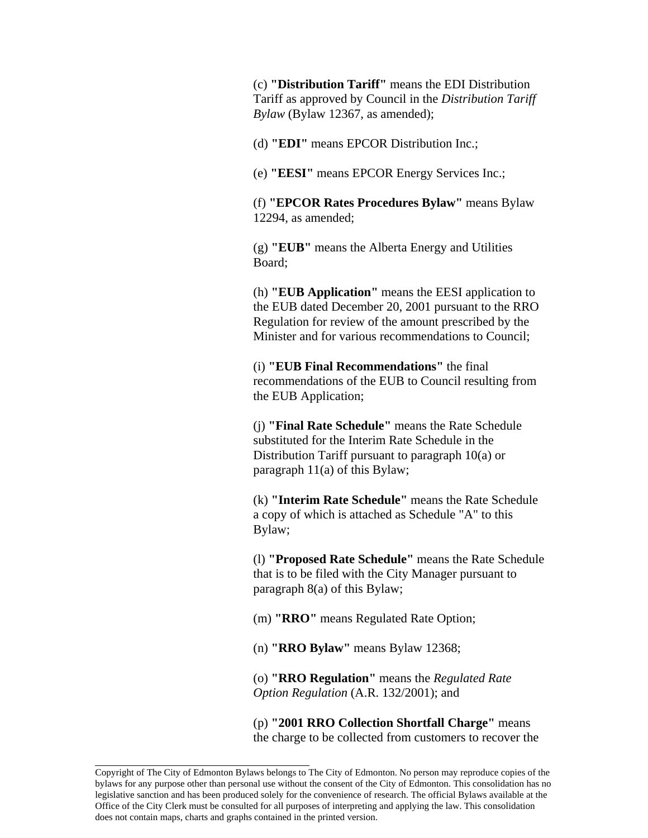(c) **"Distribution Tariff"** means the EDI Distribution Tariff as approved by Council in the *Distribution Tariff Bylaw* (Bylaw 12367, as amended);

(d) **"EDI"** means EPCOR Distribution Inc.;

(e) **"EESI"** means EPCOR Energy Services Inc.;

(f) **"EPCOR Rates Procedures Bylaw"** means Bylaw 12294, as amended;

(g) **"EUB"** means the Alberta Energy and Utilities Board;

(h) **"EUB Application"** means the EESI application to the EUB dated December 20, 2001 pursuant to the RRO Regulation for review of the amount prescribed by the Minister and for various recommendations to Council;

(i) **"EUB Final Recommendations"** the final recommendations of the EUB to Council resulting from the EUB Application;

(j) **"Final Rate Schedule"** means the Rate Schedule substituted for the Interim Rate Schedule in the Distribution Tariff pursuant to paragraph 10(a) or paragraph 11(a) of this Bylaw;

(k) **"Interim Rate Schedule"** means the Rate Schedule a copy of which is attached as Schedule "A" to this Bylaw;

(l) **"Proposed Rate Schedule"** means the Rate Schedule that is to be filed with the City Manager pursuant to paragraph 8(a) of this Bylaw;

(m) **"RRO"** means Regulated Rate Option;

(n) **"RRO Bylaw"** means Bylaw 12368;

(o) **"RRO Regulation"** means the *Regulated Rate Option Regulation* (A.R. 132/2001); and

(p) **"2001 RRO Collection Shortfall Charge"** means the charge to be collected from customers to recover the

Copyright of The City of Edmonton Bylaws belongs to The City of Edmonton. No person may reproduce copies of the bylaws for any purpose other than personal use without the consent of the City of Edmonton. This consolidation has no legislative sanction and has been produced solely for the convenience of research. The official Bylaws available at the Office of the City Clerk must be consulted for all purposes of interpreting and applying the law. This consolidation does not contain maps, charts and graphs contained in the printed version.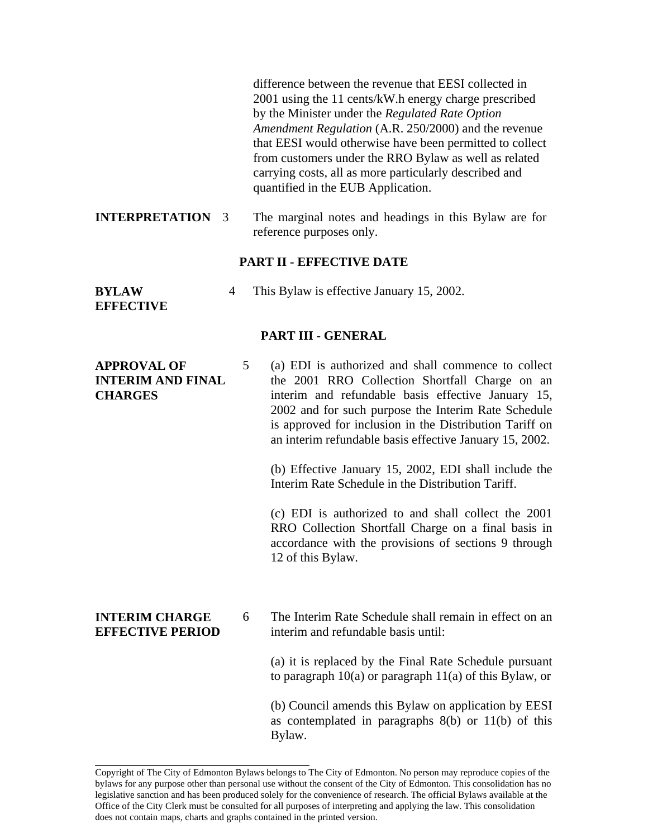difference between the revenue that EESI collected in 2001 using the 11 cents/kW.h energy charge prescribed by the Minister under the *Regulated Rate Option Amendment Regulation* (A.R. 250/2000) and the revenue that EESI would otherwise have been permitted to collect from customers under the RRO Bylaw as well as related carrying costs, all as more particularly described and quantified in the EUB Application.

**INTERPRETATION** 3 The marginal notes and headings in this Bylaw are for reference purposes only.

### **PART II - EFFECTIVE DATE**

**BYLAW**  4 This Bylaw is effective January 15, 2002.

**EFFECTIVE** 

#### **PART III - GENERAL**

| (a) EDI is authorized and shall commence to collect     |  |
|---------------------------------------------------------|--|
| the 2001 RRO Collection Shortfall Charge on an          |  |
| interim and refundable basis effective January 15,      |  |
| 2002 and for such purpose the Interim Rate Schedule     |  |
| is approved for inclusion in the Distribution Tariff on |  |
| an interim refundable basis effective January 15, 2002. |  |
|                                                         |  |

(b) Effective January 15, 2002, EDI shall include the Interim Rate Schedule in the Distribution Tariff.

(c) EDI is authorized to and shall collect the 2001 RRO Collection Shortfall Charge on a final basis in accordance with the provisions of sections 9 through 12 of this Bylaw.

**INTERIM CHARGE EFFECTIVE PERIOD**  6 The Interim Rate Schedule shall remain in effect on an interim and refundable basis until:

> (a) it is replaced by the Final Rate Schedule pursuant to paragraph 10(a) or paragraph 11(a) of this Bylaw, or

> (b) Council amends this Bylaw on application by EESI as contemplated in paragraphs 8(b) or 11(b) of this Bylaw.

Copyright of The City of Edmonton Bylaws belongs to The City of Edmonton. No person may reproduce copies of the bylaws for any purpose other than personal use without the consent of the City of Edmonton. This consolidation has no legislative sanction and has been produced solely for the convenience of research. The official Bylaws available at the Office of the City Clerk must be consulted for all purposes of interpreting and applying the law. This consolidation does not contain maps, charts and graphs contained in the printed version.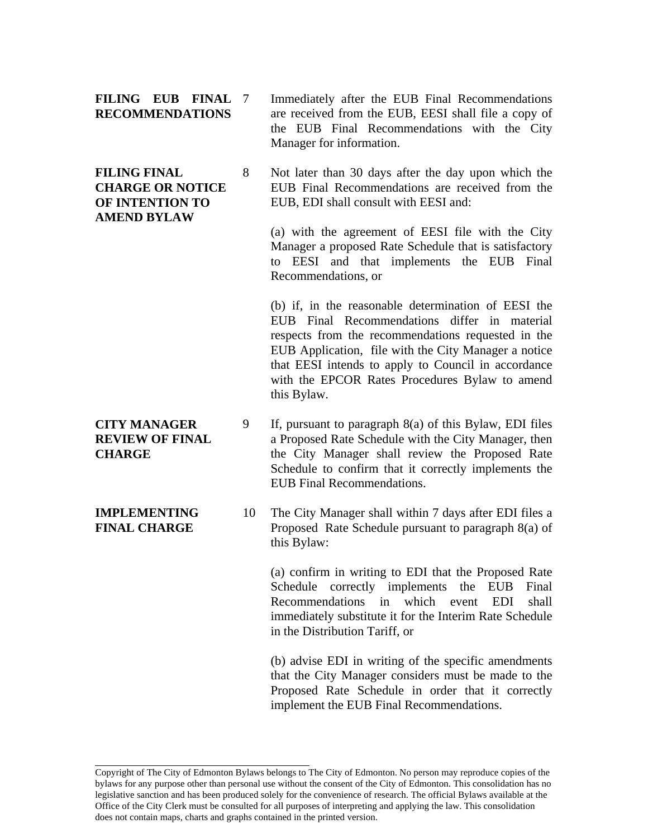**FILING EUB FINAL RECOMMENDATIONS** 

**FINAL CHARGE** 

Immediately after the EUB Final Recommendations are received from the EUB, EESI shall file a copy of the EUB Final Recommendations with the City Manager for information.

**FILING FINAL CHARGE OR NOTICE OF INTENTION TO AMEND BYLAW**  8 Not later than 30 days after the day upon which the EUB Final Recommendations are received from the EUB, EDI shall consult with EESI and:

> (a) with the agreement of EESI file with the City Manager a proposed Rate Schedule that is satisfactory to EESI and that implements the EUB Final Recommendations, or

> (b) if, in the reasonable determination of EESI the EUB Final Recommendations differ in material respects from the recommendations requested in the EUB Application, file with the City Manager a notice that EESI intends to apply to Council in accordance with the EPCOR Rates Procedures Bylaw to amend this Bylaw.

- **CITY MANAGER REVIEW OF FINAL CHARGE**  9 If, pursuant to paragraph 8(a) of this Bylaw, EDI files a Proposed Rate Schedule with the City Manager, then the City Manager shall review the Proposed Rate Schedule to confirm that it correctly implements the EUB Final Recommendations.
- **IMPLEMENTING**  10 The City Manager shall within 7 days after EDI files a Proposed Rate Schedule pursuant to paragraph 8(a) of this Bylaw:

(a) confirm in writing to EDI that the Proposed Rate Schedule correctly implements the EUB Final Recommendations in which event EDI shall immediately substitute it for the Interim Rate Schedule in the Distribution Tariff, or

(b) advise EDI in writing of the specific amendments that the City Manager considers must be made to the Proposed Rate Schedule in order that it correctly implement the EUB Final Recommendations.

Copyright of The City of Edmonton Bylaws belongs to The City of Edmonton. No person may reproduce copies of the bylaws for any purpose other than personal use without the consent of the City of Edmonton. This consolidation has no legislative sanction and has been produced solely for the convenience of research. The official Bylaws available at the Office of the City Clerk must be consulted for all purposes of interpreting and applying the law. This consolidation does not contain maps, charts and graphs contained in the printed version.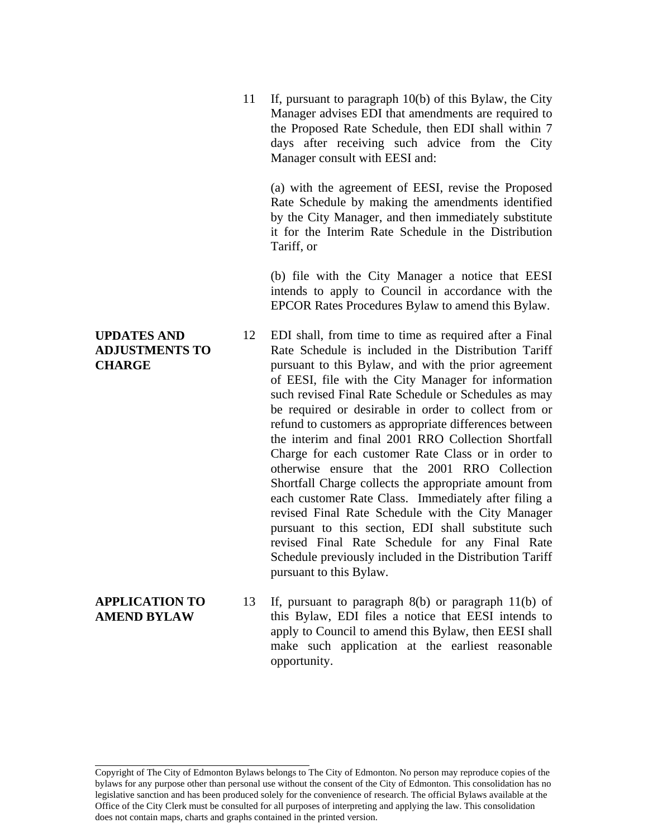11 If, pursuant to paragraph 10(b) of this Bylaw, the City Manager advises EDI that amendments are required to the Proposed Rate Schedule, then EDI shall within 7 days after receiving such advice from the City Manager consult with EESI and:

(a) with the agreement of EESI, revise the Proposed Rate Schedule by making the amendments identified by the City Manager, and then immediately substitute it for the Interim Rate Schedule in the Distribution Tariff, or

(b) file with the City Manager a notice that EESI intends to apply to Council in accordance with the EPCOR Rates Procedures Bylaw to amend this Bylaw.

12 EDI shall, from time to time as required after a Final Rate Schedule is included in the Distribution Tariff pursuant to this Bylaw, and with the prior agreement of EESI, file with the City Manager for information such revised Final Rate Schedule or Schedules as may be required or desirable in order to collect from or refund to customers as appropriate differences between the interim and final 2001 RRO Collection Shortfall Charge for each customer Rate Class or in order to otherwise ensure that the 2001 RRO Collection Shortfall Charge collects the appropriate amount from each customer Rate Class. Immediately after filing a revised Final Rate Schedule with the City Manager pursuant to this section, EDI shall substitute such revised Final Rate Schedule for any Final Rate Schedule previously included in the Distribution Tariff pursuant to this Bylaw.

**APPLICATION TO AMEND BYLAW**  13 If, pursuant to paragraph 8(b) or paragraph 11(b) of this Bylaw, EDI files a notice that EESI intends to apply to Council to amend this Bylaw, then EESI shall make such application at the earliest reasonable opportunity.

## **UPDATES AND ADJUSTMENTS TO CHARGE**

Copyright of The City of Edmonton Bylaws belongs to The City of Edmonton. No person may reproduce copies of the bylaws for any purpose other than personal use without the consent of the City of Edmonton. This consolidation has no legislative sanction and has been produced solely for the convenience of research. The official Bylaws available at the Office of the City Clerk must be consulted for all purposes of interpreting and applying the law. This consolidation does not contain maps, charts and graphs contained in the printed version.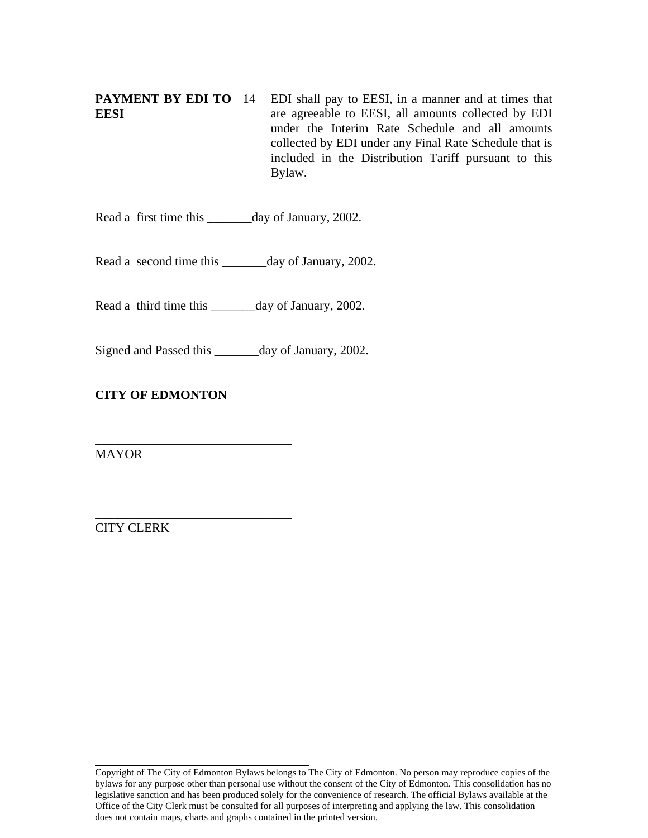**PAYMENT BY EDI TO EESI**  14 EDI shall pay to EESI, in a manner and at times that are agreeable to EESI, all amounts collected by EDI under the Interim Rate Schedule and all amounts collected by EDI under any Final Rate Schedule that is included in the Distribution Tariff pursuant to this Bylaw.

Read a first time this \_\_\_\_\_\_day of January, 2002.

Read a second time this \_\_\_\_\_\_\_day of January, 2002.

Read a third time this \_\_\_\_\_\_\_day of January, 2002.

Signed and Passed this \_\_\_\_\_\_\_day of January, 2002.

# **CITY OF EDMONTON**

\_\_\_\_\_\_\_\_\_\_\_\_\_\_\_\_\_\_\_\_\_\_\_\_\_\_\_\_\_\_\_

\_\_\_\_\_\_\_\_\_\_\_\_\_\_\_\_\_\_\_\_\_\_\_\_\_\_\_\_\_\_\_

MAYOR

CITY CLERK

Copyright of The City of Edmonton Bylaws belongs to The City of Edmonton. No person may reproduce copies of the bylaws for any purpose other than personal use without the consent of the City of Edmonton. This consolidation has no legislative sanction and has been produced solely for the convenience of research. The official Bylaws available at the Office of the City Clerk must be consulted for all purposes of interpreting and applying the law. This consolidation does not contain maps, charts and graphs contained in the printed version.